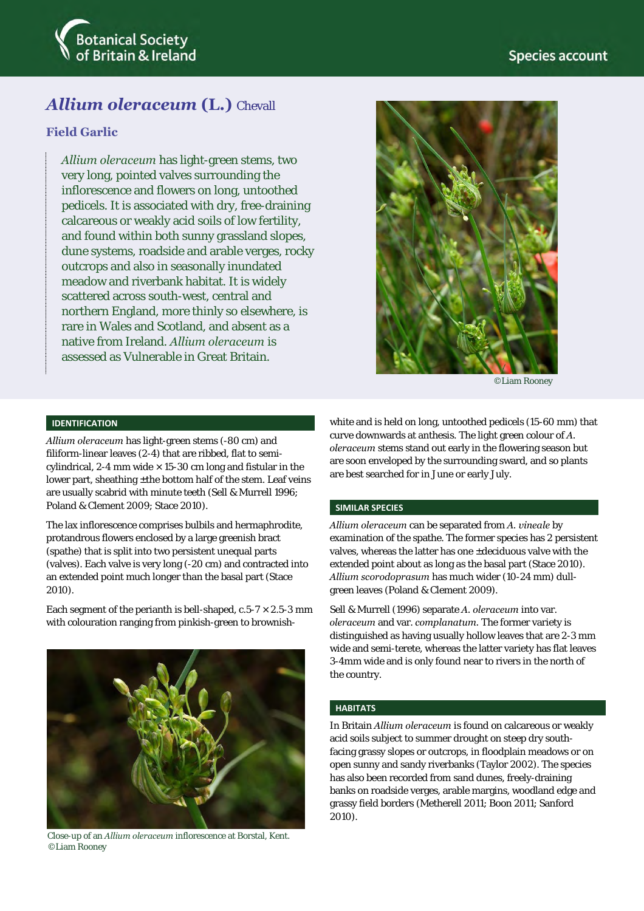

# *Allium oleraceum* **(L.)** Chevall

## **Field Garlic**

*Allium oleraceum* has light-green stems, two very long, pointed valves surrounding the inflorescence and flowers on long, untoothed pedicels. It is associated with dry, free-draining calcareous or weakly acid soils of low fertility, and found within both sunny grassland slopes, dune systems, roadside and arable verges, rocky outcrops and also in seasonally inundated meadow and riverbank habitat. It is widely scattered across south-west, central and northern England, more thinly so elsewhere, is rare in Wales and Scotland, and absent as a native from Ireland. *Allium oleraceum* is assessed as Vulnerable in Great Britain.



©Liam Rooney

### **IDENTIFICATION**

*Allium oleraceum* has light-green stems (-80 cm) and filiform-linear leaves (2-4) that are ribbed, flat to semicylindrical, 2-4 mm wide  $\times$  15-30 cm long and fistular in the lower part, sheathing ±the bottom half of the stem. Leaf veins are usually scabrid with minute teeth (Sell & Murrell 1996; Poland & Clement 2009; Stace 2010).

The lax inflorescence comprises bulbils and hermaphrodite, protandrous flowers enclosed by a large greenish bract (spathe) that is split into two persistent unequal parts (valves). Each valve is very long (-20 cm) and contracted into an extended point much longer than the basal part (Stace 2010).

Each segment of the perianth is bell-shaped,  $c.5-7 \times 2.5-3$  mm with colouration ranging from pinkish-green to brownish-



Close-up of an *Allium oleraceum* inflorescence at Borstal, Kent. ©Liam Rooney

white and is held on long, untoothed pedicels (15-60 mm) that curve downwards at anthesis. The light green colour of *A. oleraceum* stems stand out early in the flowering season but are soon enveloped by the surrounding sward, and so plants are best searched for in June or early July.

#### **SIMILAR SPECIES**

*Allium oleraceum* can be separated from *A. vineale* by examination of the spathe. The former species has 2 persistent valves, whereas the latter has one ±deciduous valve with the extended point about as long as the basal part (Stace 2010). *Allium scorodoprasum* has much wider (10-24 mm) dullgreen leaves (Poland & Clement 2009).

Sell & Murrell (1996) separate *A. oleraceum* into var. *oleraceum* and var. *complanatum.* The former variety is distinguished as having usually hollow leaves that are 2-3 mm wide and semi-terete, whereas the latter variety has flat leaves 3-4mm wide and is only found near to rivers in the north of the country.

### **HABITATS**

In Britain *Allium oleraceum* is found on calcareous or weakly acid soils subject to summer drought on steep dry southfacing grassy slopes or outcrops, in floodplain meadows or on open sunny and sandy riverbanks (Taylor 2002). The species has also been recorded from sand dunes, freely-draining banks on roadside verges, arable margins, woodland edge and grassy field borders (Metherell 2011; Boon 2011; Sanford 2010).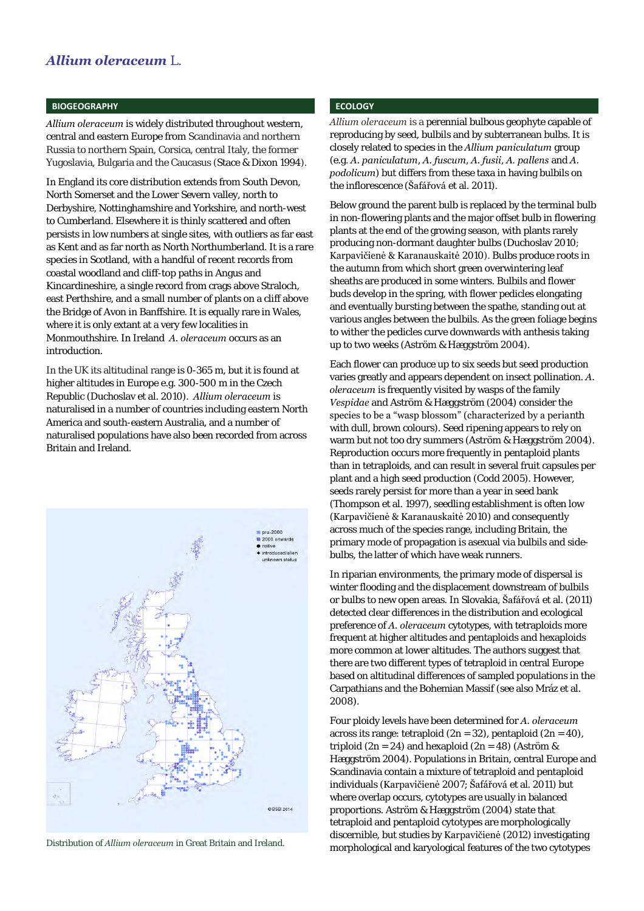### **BIOGEOGRAPHY**

*Allium oleraceum* is widely distributed throughout western, central and eastern Europe from Scandinavia and northern Russia to northern Spain, Corsica, central Italy, the former Yugoslavia, Bulgaria and the Caucasus (Stace & Dixon 1994).

In England its core distribution extends from South Devon, North Somerset and the Lower Severn valley, north to Derbyshire, Nottinghamshire and Yorkshire, and north-west to Cumberland. Elsewhere it is thinly scattered and often persists in low numbers at single sites, with outliers as far east as Kent and as far north as North Northumberland. It is a rare species in Scotland, with a handful of recent records from coastal woodland and cliff-top paths in Angus and Kincardineshire, a single record from crags above Straloch, east Perthshire, and a small number of plants on a cliff above the Bridge of Avon in Banffshire. It is equally rare in Wales, where it is only extant at a very few localities in Monmouthshire. In Ireland *A. oleraceum* occurs as an introduction.

In the UK its altitudinal range is 0-365 m, but it is found at higher altitudes in Europe e.g. 300-500 m in the Czech Republic (Duchoslav et al. 2010). *Allium oleraceum* is naturalised in a number of countries including eastern North America and south-eastern Australia, and a number of naturalised populations have also been recorded from across Britain and Ireland.



### **ECOLOGY**

*Allium oleraceum* is a perennial bulbous geophyte capable of reproducing by seed, bulbils and by subterranean bulbs. It is closely related to species in the *Allium paniculatum* group (e.g. *A. paniculatum*, *A. fuscum*, *A. fusii*, *A. pallens* and *A. podolicum*) but differs from these taxa in having bulbils on the inflorescence (Šafářová et al. 2011).

Below ground the parent bulb is replaced by the terminal bulb in non-flowering plants and the major offset bulb in flowering plants at the end of the growing season, with plants rarely producing non-dormant daughter bulbs (Duchoslav 2010; Karpavičienė & Karanauskaitė 2010). Bulbs produce roots in the autumn from which short green overwintering leaf sheaths are produced in some winters. Bulbils and flower buds develop in the spring, with flower pedicles elongating and eventually bursting between the spathe, standing out at various angles between the bulbils. As the green foliage begins to wither the pedicles curve downwards with anthesis taking up to two weeks (Aström & Hæggström 2004).

Each flower can produce up to six seeds but seed production varies greatly and appears dependent on insect pollination. *A. oleraceum* is frequently visited by wasps of the family *Vespidae* and Aström & Hæggström (2004) consider the species to be a "wasp blossom" (characterized by a perianth with dull, brown colours). Seed ripening appears to rely on warm but not too dry summers (Aström & Hæggström 2004). Reproduction occurs more frequently in pentaploid plants than in tetraploids, and can result in several fruit capsules per plant and a high seed production (Codd 2005). However, seeds rarely persist for more than a year in seed bank (Thompson et al. 1997), seedling establishment is often low (Karpavičienė & Karanauskaitė 2010) and consequently across much of the species range, including Britain, the primary mode of propagation is asexual via bulbils and sidebulbs, the latter of which have weak runners.

In riparian environments, the primary mode of dispersal is winter flooding and the displacement downstream of bulbils or bulbs to new open areas. In Slovakia, Šafářová et al. (2011) detected clear differences in the distribution and ecological preference of *A. oleraceum* cytotypes, with tetraploids more frequent at higher altitudes and pentaploids and hexaploids more common at lower altitudes. The authors suggest that there are two different types of tetraploid in central Europe based on altitudinal differences of sampled populations in the Carpathians and the Bohemian Massif (see also Mráz et al. 2008).

Four ploidy levels have been determined for *A. oleraceum* across its range: tetraploid  $(2n = 32)$ , pentaploid  $(2n = 40)$ , triploid (2n = 24) and hexaploid (2n = 48) (Aström & Hæggström 2004). Populations in Britain, central Europe and Scandinavia contain a mixture of tetraploid and pentaploid individuals (Karpavičienė 2007; Šafářová et al. 2011) but where overlap occurs, cytotypes are usually in balanced proportions. Aström & Hæggström (2004) state that tetraploid and pentaploid cytotypes are morphologically discernible, but studies by Karpavičienė (2012) investigating morphological and karyological features of the two cytotypes Distribution of *Allium oleraceum* in Great Britain and Ireland.